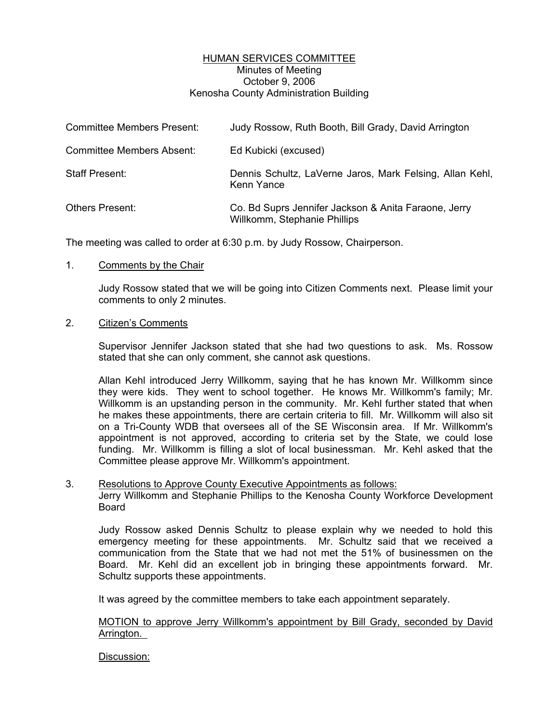## HUMAN SERVICES COMMITTEE Minutes of Meeting October 9, 2006 Kenosha County Administration Building

| <b>Committee Members Present:</b> | Judy Rossow, Ruth Booth, Bill Grady, David Arrington                                 |
|-----------------------------------|--------------------------------------------------------------------------------------|
| <b>Committee Members Absent:</b>  | Ed Kubicki (excused)                                                                 |
| <b>Staff Present:</b>             | Dennis Schultz, LaVerne Jaros, Mark Felsing, Allan Kehl,<br>Kenn Yance               |
| <b>Others Present:</b>            | Co. Bd Suprs Jennifer Jackson & Anita Faraone, Jerry<br>Willkomm, Stephanie Phillips |

The meeting was called to order at 6:30 p.m. by Judy Rossow, Chairperson.

### 1. Comments by the Chair

Judy Rossow stated that we will be going into Citizen Comments next. Please limit your comments to only 2 minutes.

# 2. Citizen's Comments

Supervisor Jennifer Jackson stated that she had two questions to ask. Ms. Rossow stated that she can only comment, she cannot ask questions.

Allan Kehl introduced Jerry Willkomm, saying that he has known Mr. Willkomm since they were kids. They went to school together. He knows Mr. Willkomm's family; Mr. Willkomm is an upstanding person in the community. Mr. Kehl further stated that when he makes these appointments, there are certain criteria to fill. Mr. Willkomm will also sit on a Tri-County WDB that oversees all of the SE Wisconsin area. If Mr. Willkomm's appointment is not approved, according to criteria set by the State, we could lose funding. Mr. Willkomm is filling a slot of local businessman. Mr. Kehl asked that the Committee please approve Mr. Willkomm's appointment.

#### 3. Resolutions to Approve County Executive Appointments as follows: Jerry Willkomm and Stephanie Phillips to the Kenosha County Workforce Development Board

Judy Rossow asked Dennis Schultz to please explain why we needed to hold this emergency meeting for these appointments. Mr. Schultz said that we received a communication from the State that we had not met the 51% of businessmen on the Board. Mr. Kehl did an excellent job in bringing these appointments forward. Mr. Schultz supports these appointments.

It was agreed by the committee members to take each appointment separately.

### MOTION to approve Jerry Willkomm's appointment by Bill Grady, seconded by David Arrington.

### Discussion: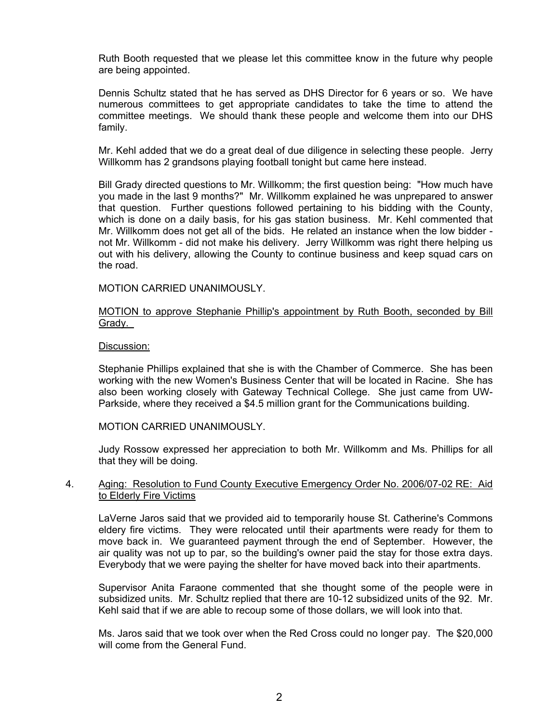Ruth Booth requested that we please let this committee know in the future why people are being appointed.

Dennis Schultz stated that he has served as DHS Director for 6 years or so. We have numerous committees to get appropriate candidates to take the time to attend the committee meetings. We should thank these people and welcome them into our DHS family.

Mr. Kehl added that we do a great deal of due diligence in selecting these people. Jerry Willkomm has 2 grandsons playing football tonight but came here instead.

Bill Grady directed questions to Mr. Willkomm; the first question being: "How much have you made in the last 9 months?" Mr. Willkomm explained he was unprepared to answer that question. Further questions followed pertaining to his bidding with the County, which is done on a daily basis, for his gas station business. Mr. Kehl commented that Mr. Willkomm does not get all of the bids. He related an instance when the low bidder not Mr. Willkomm - did not make his delivery. Jerry Willkomm was right there helping us out with his delivery, allowing the County to continue business and keep squad cars on the road.

### MOTION CARRIED UNANIMOUSLY.

### MOTION to approve Stephanie Phillip's appointment by Ruth Booth, seconded by Bill Grady.

### Discussion:

Stephanie Phillips explained that she is with the Chamber of Commerce. She has been working with the new Women's Business Center that will be located in Racine. She has also been working closely with Gateway Technical College. She just came from UW-Parkside, where they received a \$4.5 million grant for the Communications building.

#### MOTION CARRIED UNANIMOUSLY.

Judy Rossow expressed her appreciation to both Mr. Willkomm and Ms. Phillips for all that they will be doing.

### 4. Aging: Resolution to Fund County Executive Emergency Order No. 2006/07-02 RE: Aid to Elderly Fire Victims

LaVerne Jaros said that we provided aid to temporarily house St. Catherine's Commons eldery fire victims. They were relocated until their apartments were ready for them to move back in. We guaranteed payment through the end of September. However, the air quality was not up to par, so the building's owner paid the stay for those extra days. Everybody that we were paying the shelter for have moved back into their apartments.

Supervisor Anita Faraone commented that she thought some of the people were in subsidized units. Mr. Schultz replied that there are 10-12 subsidized units of the 92. Mr. Kehl said that if we are able to recoup some of those dollars, we will look into that.

Ms. Jaros said that we took over when the Red Cross could no longer pay. The \$20,000 will come from the General Fund.